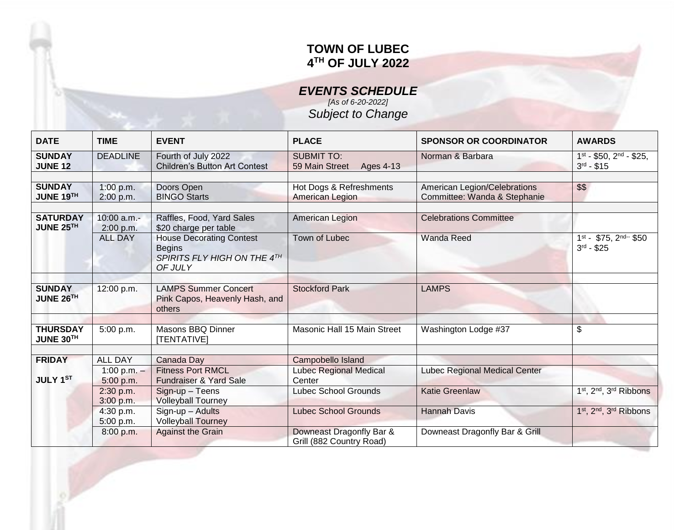## **TOWN OF LUBEC 4 TH OF JULY 2022**

*EVENTS SCHEDULE [As of 6-20-2022]*

*Subject to Change*

| <b>DATE</b>                      | <b>TIME</b>                                  | <b>EVENT</b>                                                                               | <b>PLACE</b>                                                 | <b>SPONSOR OR COORDINATOR</b>                                | <b>AWARDS</b>                                               |
|----------------------------------|----------------------------------------------|--------------------------------------------------------------------------------------------|--------------------------------------------------------------|--------------------------------------------------------------|-------------------------------------------------------------|
| <b>SUNDAY</b><br><b>JUNE 12</b>  | <b>DEADLINE</b>                              | Fourth of July 2022<br><b>Children's Button Art Contest</b>                                | <b>SUBMIT TO:</b><br>59 Main Street<br>Ages 4-13             | Norman & Barbara                                             | $1^{st}$ - \$50, $2^{nd}$ - \$25,<br>$3^{rd} - $15$         |
| <b>SUNDAY</b><br>JUNE 19TH       | 1:00 p.m.<br>2:00 p.m.                       | Doors Open<br><b>BINGO Starts</b>                                                          | Hot Dogs & Refreshments<br><b>American Legion</b>            | American Legion/Celebrations<br>Committee: Wanda & Stephanie | \$\$                                                        |
| <b>SATURDAY</b><br>JUNE 25TH     | 10:00 a.m.-<br>2:00 p.m.                     | Raffles, Food, Yard Sales<br>\$20 charge per table                                         | American Legion                                              | <b>Celebrations Committee</b>                                |                                                             |
|                                  | <b>ALL DAY</b>                               | <b>House Decorating Contest</b><br><b>Begins</b><br>SPIRITS FLY HIGH ON THE 4TH<br>OF JULY | Town of Lubec                                                | <b>Wanda Reed</b>                                            | $1st$ - \$75, $2nd-r$ \$50<br>$3^{rd} - $25$                |
| <b>SUNDAY</b><br>JUNE 26TH       | 12:00 p.m.                                   | <b>LAMPS Summer Concert</b><br>Pink Capos, Heavenly Hash, and<br>others                    | <b>Stockford Park</b>                                        | <b>LAMPS</b>                                                 |                                                             |
| <b>THURSDAY</b><br>JUNE 30TH     | 5:00 p.m.                                    | Masons BBQ Dinner<br>[TENTATIVE]                                                           | Masonic Hall 15 Main Street                                  | Washington Lodge #37                                         | \$                                                          |
| <b>FRIDAY</b><br><b>JULY 1ST</b> | <b>ALL DAY</b><br>1:00 p.m. $-$<br>5:00 p.m. | Canada Day<br><b>Fitness Port RMCL</b><br><b>Fundraiser &amp; Yard Sale</b>                | Campobello Island<br><b>Lubec Regional Medical</b><br>Center | Lubec Regional Medical Center                                |                                                             |
|                                  | 2:30 p.m.<br>3:00 p.m.                       | Sign-up - Teens<br><b>Volleyball Tourney</b>                                               | <b>Lubec School Grounds</b>                                  | <b>Katie Greenlaw</b>                                        | 1st, 2nd, 3rd Ribbons                                       |
|                                  | 4:30 p.m.<br>5:00 p.m.                       | Sign-up - Adults<br><b>Volleyball Tourney</b>                                              | <b>Lubec School Grounds</b>                                  | <b>Hannah Davis</b>                                          | 1 <sup>st</sup> , 2 <sup>nd</sup> , 3 <sup>rd</sup> Ribbons |
|                                  | 8:00 p.m.                                    | <b>Against the Grain</b>                                                                   | Downeast Dragonfly Bar &<br>Grill (882 Country Road)         | Downeast Dragonfly Bar & Grill                               |                                                             |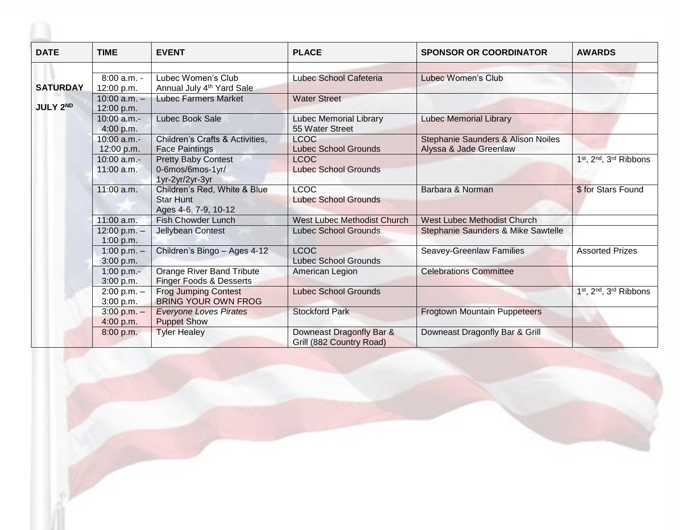| <b>DATE</b>     | <b>TIME</b>                    | <b>EVENT</b>                                                             | <b>PLACE</b>                                         | <b>SPONSOR OR COORDINATOR</b>                                | <b>AWARDS</b>                                               |
|-----------------|--------------------------------|--------------------------------------------------------------------------|------------------------------------------------------|--------------------------------------------------------------|-------------------------------------------------------------|
|                 |                                |                                                                          |                                                      |                                                              |                                                             |
|                 | 8:00 a.m. -                    | Lubec Women's Club                                                       | Lubec School Cafeteria                               | <b>Lubec Women's Club</b>                                    |                                                             |
| <b>SATURDAY</b> | 12:00 p.m.                     | Annual July 4 <sup>th</sup> Yard Sale                                    |                                                      |                                                              |                                                             |
| <b>JULY 2ND</b> | $10:00$ a.m. $-$<br>12:00 p.m. | <b>Lubec Farmers Market</b>                                              | <b>Water Street</b>                                  |                                                              |                                                             |
|                 | 10:00 a.m.-                    | Lubec Book Sale                                                          | <b>Lubec Memorial Library</b>                        | <b>Lubec Memorial Library</b>                                |                                                             |
|                 | 4:00 p.m.                      |                                                                          | 55 Water Street                                      |                                                              |                                                             |
|                 | $10:00$ a.m.-<br>12:00 p.m.    | Children's Crafts & Activities,<br><b>Face Paintings</b>                 | <b>LCOC</b><br><b>Lubec School Grounds</b>           | Stephanie Saunders & Alison Noiles<br>Alyssa & Jade Greenlaw |                                                             |
|                 | 10:00 a.m.-                    | <b>Pretty Baby Contest</b>                                               | <b>LCOC</b>                                          |                                                              | 1st, 2nd, 3rd Ribbons                                       |
|                 | 11:00 a.m.                     | 0-6mos/6mos-1yr/<br>1yr-2yr/2yr-3yr                                      | <b>Lubec School Grounds</b>                          |                                                              |                                                             |
|                 | 11:00 a.m.                     | Children's Red, White & Blue<br><b>Star Hunt</b><br>Ages 4-6, 7-9, 10-12 | <b>LCOC</b><br><b>Lubec School Grounds</b>           | Barbara & Norman                                             | \$ for Stars Found                                          |
|                 | 11:00 a.m.                     | <b>Fish Chowder Lunch</b>                                                | <b>West Lubec Methodist Church</b>                   | <b>West Lubec Methodist Church</b>                           |                                                             |
|                 | $12:00 p.m. -$<br>1:00 p.m.    | Jellybean Contest                                                        | <b>Lubec School Grounds</b>                          | Stephanie Saunders & Mike Sawtelle                           |                                                             |
|                 | 1:00 p.m. $-$<br>3:00 p.m.     | Children's Bingo - Ages 4-12                                             | <b>LCOC</b><br><b>Lubec School Grounds</b>           | Seavey-Greenlaw Families                                     | <b>Assorted Prizes</b>                                      |
|                 | 1:00 p.m.-<br>3:00 p.m.        | <b>Orange River Band Tribute</b><br>Finger Foods & Desserts              | American Legion                                      | <b>Celebrations Committee</b>                                |                                                             |
|                 | $2:00 p.m. -$<br>3:00 p.m.     | <b>Frog Jumping Contest</b><br><b>BRING YOUR OWN FROG</b>                | <b>Lubec School Grounds</b>                          |                                                              | 1 <sup>st</sup> , 2 <sup>nd</sup> , 3 <sup>rd</sup> Ribbons |
|                 | $3:00 p.m. -$<br>4:00 p.m.     | <b>Everyone Loves Pirates</b><br><b>Puppet Show</b>                      | <b>Stockford Park</b>                                | <b>Frogtown Mountain Puppeteers</b>                          |                                                             |
|                 | 8:00 p.m.                      | <b>Tyler Healey</b>                                                      | Downeast Dragonfly Bar &<br>Grill (882 Country Road) | Downeast Dragonfly Bar & Grill                               |                                                             |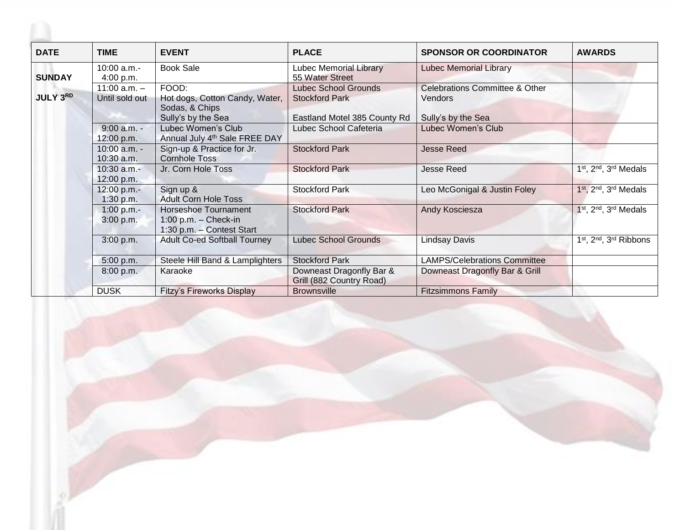| <b>DATE</b>     | TIME                               | <b>EVENT</b>                                                                | <b>PLACE</b>                                         | <b>SPONSOR OR COORDINATOR</b>                        | <b>AWARDS</b>                                               |
|-----------------|------------------------------------|-----------------------------------------------------------------------------|------------------------------------------------------|------------------------------------------------------|-------------------------------------------------------------|
| <b>SUNDAY</b>   | $10:00$ a.m.-<br>4:00 p.m.         | <b>Book Sale</b>                                                            | <b>Lubec Memorial Library</b><br>55 Water Street     | <b>Lubec Memorial Library</b>                        |                                                             |
| <b>JULY 3RD</b> | $11:00$ a.m. $-$<br>Until sold out | FOOD:<br>Hot dogs, Cotton Candy, Water,                                     | <b>Lubec School Grounds</b><br><b>Stockford Park</b> | <b>Celebrations Committee &amp; Other</b><br>Vendors |                                                             |
|                 |                                    | Sodas, & Chips<br>Sully's by the Sea                                        | Eastland Motel 385 County Rd                         | Sully's by the Sea                                   |                                                             |
|                 | $9:00$ a.m. -<br>12:00 p.m.        | Lubec Women's Club<br>Annual July 4 <sup>th</sup> Sale FREE DAY             | Lubec School Cafeteria                               | Lubec Women's Club                                   |                                                             |
|                 | $10:00$ a.m. -<br>10:30 a.m.       | Sign-up & Practice for Jr.<br><b>Cornhole Toss</b>                          | <b>Stockford Park</b>                                | <b>Jesse Reed</b>                                    |                                                             |
|                 | 10:30 a.m.-<br>12:00 p.m.          | Jr. Corn Hole Toss                                                          | <b>Stockford Park</b>                                | <b>Jesse Reed</b>                                    | 1st, 2nd, 3rd Medals                                        |
|                 | 12:00 p.m.-<br>1:30 p.m.           | Sign up &<br><b>Adult Corn Hole Toss</b>                                    | <b>Stockford Park</b>                                | Leo McGonigal & Justin Foley                         | 1st, 2nd, 3rd Medals                                        |
|                 | $1:00 p.m. -$<br>3:00 p.m.         | Horseshoe Tournament<br>$1:00$ p.m. - Check-in<br>1:30 p.m. - Contest Start | <b>Stockford Park</b>                                | Andy Kosciesza                                       | 1st, 2nd, 3rd Medals                                        |
|                 | 3:00 p.m.                          | <b>Adult Co-ed Softball Tourney</b>                                         | <b>Lubec School Grounds</b>                          | <b>Lindsay Davis</b>                                 | 1 <sup>st</sup> , 2 <sup>nd</sup> , 3 <sup>rd</sup> Ribbons |
|                 | 5:00 p.m.                          | Steele Hill Band & Lamplighters                                             | <b>Stockford Park</b>                                | <b>LAMPS/Celebrations Committee</b>                  |                                                             |
|                 | 8:00 p.m.                          | Karaoke                                                                     | Downeast Dragonfly Bar &<br>Grill (882 Country Road) | Downeast Dragonfly Bar & Grill                       |                                                             |
|                 | <b>DUSK</b>                        | <b>Fitzy's Fireworks Display</b>                                            | <b>Brownsville</b>                                   | <b>Fitzsimmons Family</b>                            |                                                             |

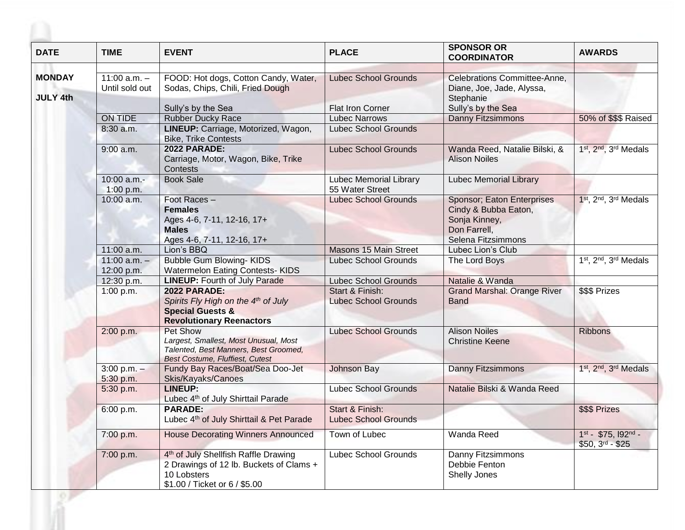| <b>DATE</b>     | <b>TIME</b>                    | <b>EVENT</b>                                                                                                                                | <b>PLACE</b>                                     | <b>SPONSOR OR</b><br><b>COORDINATOR</b>                                                                   | <b>AWARDS</b>                           |
|-----------------|--------------------------------|---------------------------------------------------------------------------------------------------------------------------------------------|--------------------------------------------------|-----------------------------------------------------------------------------------------------------------|-----------------------------------------|
| <b>MONDAY</b>   | $11:00$ a.m. $-$               | FOOD: Hot dogs, Cotton Candy, Water,                                                                                                        | <b>Lubec School Grounds</b>                      | Celebrations Committee-Anne,                                                                              |                                         |
|                 | Until sold out                 | Sodas, Chips, Chili, Fried Dough                                                                                                            |                                                  | Diane, Joe, Jade, Alyssa,                                                                                 |                                         |
| <b>JULY 4th</b> |                                | Sully's by the Sea                                                                                                                          | <b>Flat Iron Corner</b>                          | Stephanie<br>Sully's by the Sea                                                                           |                                         |
|                 | ON TIDE                        | <b>Rubber Ducky Race</b>                                                                                                                    | <b>Lubec Narrows</b>                             | Danny Fitzsimmons                                                                                         | 50% of \$\$\$ Raised                    |
|                 | 8:30 a.m.                      | LINEUP: Carriage, Motorized, Wagon,<br><b>Bike, Trike Contests</b>                                                                          | <b>Lubec School Grounds</b>                      |                                                                                                           |                                         |
|                 | $9:00$ a.m.                    | <b>2022 PARADE:</b><br>Carriage, Motor, Wagon, Bike, Trike<br>Contests                                                                      | <b>Lubec School Grounds</b>                      | Wanda Reed, Natalie Bilski, &<br><b>Alison Noiles</b>                                                     | 1st, 2nd, 3rd Medals                    |
|                 | 10:00 a.m.-<br>1:00 p.m.       | <b>Book Sale</b>                                                                                                                            | <b>Lubec Memorial Library</b><br>55 Water Street | <b>Lubec Memorial Library</b>                                                                             |                                         |
|                 | 10:00 a.m.                     | Foot Races-<br><b>Females</b><br>Ages 4-6, 7-11, 12-16, 17+<br><b>Males</b><br>Ages 4-6, 7-11, 12-16, 17+                                   | <b>Lubec School Grounds</b>                      | Sponsor; Eaton Enterprises<br>Cindy & Bubba Eaton,<br>Sonja Kinney,<br>Don Farrell,<br>Selena Fitzsimmons | 1st, 2nd, 3rd Medals                    |
|                 | 11:00 a.m.                     | Lion's BBQ                                                                                                                                  | Masons 15 Main Street                            | Lubec Lion's Club                                                                                         |                                         |
|                 | $11:00$ a.m. $-$<br>12:00 p.m. | <b>Bubble Gum Blowing-KIDS</b><br><b>Watermelon Eating Contests-KIDS</b>                                                                    | <b>Lubec School Grounds</b>                      | The Lord Boys                                                                                             | 1st, 2nd, 3rd Medals                    |
|                 | 12:30 p.m.                     | <b>LINEUP: Fourth of July Parade</b>                                                                                                        | <b>Lubec School Grounds</b>                      | Natalie & Wanda                                                                                           |                                         |
|                 | 1:00 p.m.                      | <b>2022 PARADE:</b><br>Spirits Fly High on the 4th of July<br><b>Special Guests &amp;</b><br><b>Revolutionary Reenactors</b>                | Start & Finish:<br><b>Lubec School Grounds</b>   | <b>Grand Marshal: Orange River</b><br><b>Band</b>                                                         | \$\$\$ Prizes                           |
|                 | 2:00 p.m.                      | <b>Pet Show</b><br>Largest, Smallest, Most Unusual, Most<br>Talented, Best Manners, Best Groomed,<br><b>Best Costume, Fluffiest, Cutest</b> | <b>Lubec School Grounds</b>                      | <b>Alison Noiles</b><br><b>Christine Keene</b>                                                            | <b>Ribbons</b>                          |
|                 | $3:00 p.m. -$<br>5:30 p.m.     | Fundy Bay Races/Boat/Sea Doo-Jet<br>Skis/Kayaks/Canoes                                                                                      | Johnson Bay                                      | Danny Fitzsimmons                                                                                         | 1st, 2nd, 3rd Medals                    |
|                 | 5:30 p.m.                      | <b>LINEUP:</b><br>Lubec 4 <sup>th</sup> of July Shirttail Parade                                                                            | <b>Lubec School Grounds</b>                      | Natalie Bilski & Wanda Reed                                                                               |                                         |
|                 | 6:00 p.m.                      | <b>PARADE:</b><br>Lubec 4 <sup>th</sup> of July Shirttail & Pet Parade                                                                      | Start & Finish:<br><b>Lubec School Grounds</b>   |                                                                                                           | \$\$\$ Prizes                           |
|                 | 7:00 p.m.                      | <b>House Decorating Winners Announced</b>                                                                                                   | Town of Lubec                                    | Wanda Reed                                                                                                | 1st - \$75, 192nd -<br>$$50, 3rd - $25$ |
|                 | 7:00 p.m.                      | 4 <sup>th</sup> of July Shellfish Raffle Drawing<br>2 Drawings of 12 lb. Buckets of Clams +<br>10 Lobsters<br>\$1.00 / Ticket or 6 / \$5.00 | <b>Lubec School Grounds</b>                      | Danny Fitzsimmons<br>Debbie Fenton<br>Shelly Jones                                                        |                                         |